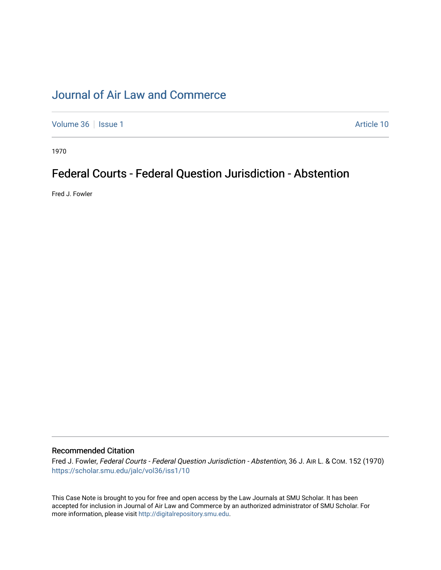## [Journal of Air Law and Commerce](https://scholar.smu.edu/jalc)

[Volume 36](https://scholar.smu.edu/jalc/vol36) | [Issue 1](https://scholar.smu.edu/jalc/vol36/iss1) Article 10

1970

## Federal Courts - Federal Question Jurisdiction - Abstention

Fred J. Fowler

## Recommended Citation

Fred J. Fowler, Federal Courts - Federal Question Jurisdiction - Abstention, 36 J. AIR L. & COM. 152 (1970) [https://scholar.smu.edu/jalc/vol36/iss1/10](https://scholar.smu.edu/jalc/vol36/iss1/10?utm_source=scholar.smu.edu%2Fjalc%2Fvol36%2Fiss1%2F10&utm_medium=PDF&utm_campaign=PDFCoverPages)

This Case Note is brought to you for free and open access by the Law Journals at SMU Scholar. It has been accepted for inclusion in Journal of Air Law and Commerce by an authorized administrator of SMU Scholar. For more information, please visit [http://digitalrepository.smu.edu](http://digitalrepository.smu.edu/).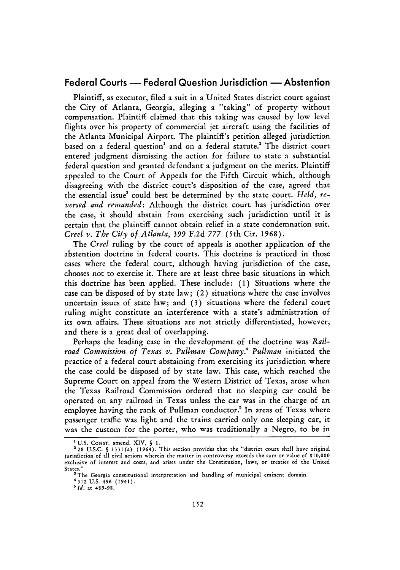## Federal Courts **-** Federal Question Jurisdiction -Abstention

Plaintiff, as executor, filed a suit in a United States district court against the City of Atlanta, Georgia, alleging a "taking" of property without compensation. Plaintiff claimed that this taking was caused by low level flights over his property of commercial jet aircraft using the facilities of the Atlanta Municipal Airport. The plaintiff's petition alleged jurisdiction based on a federal question<sup>1</sup> and on a federal statute.<sup>2</sup> The district court entered judgment dismissing the action for failure to state a substantial federal question and granted defendant a judgment on the merits. Plaintiff appealed to the Court of Appeals for the Fifth Circuit which, although disagreeing with the district court's disposition of the case, agreed that the essential issue' could best be determined by the state court. *Held, reversed and remanded:* Although the district court has jurisdiction over the case, it should abstain from exercising such jurisdiction until it is certain that the plaintiff cannot obtain relief in a state condemnation suit. *Creel v. The City of Atlanta, 399* F.2d 777 (5th Cir. 1968).

The *Creel* ruling by the court of appeals is another application of the abstention doctrine in federal courts. This doctrine is practiced in those cases where the federal court, although having jurisdiction of the case, chooses not to exercise it. There are at least three basic situations in which this doctrine has been applied. These include: (1) Situations where the case can be disposed of by state law; (2) situations where the case involves uncertain issues of state law; and (3) situations where the federal court ruling might constitute an interference with a state's administration of its own affairs. These situations are not strictly differentiated, however, and there is a great deal of overlapping.

Perhaps the leading case in the development of the doctrine was *Railroad Commission of Texas v. Pullman Company.' Pullman* initiated the practice of a federal court abstaining from exercising its jurisdiction where the case could be disposed of by state law. This case, which reached the Supreme Court on appeal from the Western District of Texas, arose when the Texas Railroad Commission ordered that no sleeping car could be operated on any railroad in Texas unless the car was in the charge of an employee having the rank of Pullman conductor.' In areas of Texas where passenger traffic was light and the trains carried only one sleeping car, it was the custom for the porter, who was traditionally a Negro, to be in

<sup>&#</sup>x27;U.S. **CONST.** amend. XIV, **S** 1.

<sup>228</sup> U.S.C. **§** 1331 (a) (1964). This section provides that the "district court shall have original jurisdiction of all civil actions wherein the matter in controversy exceeds the sum or value of \$10,000 exclusive of interest and costs, and arises under the Constitution, laws, or treaties of the United States."

<sup>&#</sup>x27;The Georgia constitutional interpretation and handling of municipal eminent domain.

<sup>4312</sup> U.S. *496* (1941).

*<sup>5</sup> Id.* at 489-98.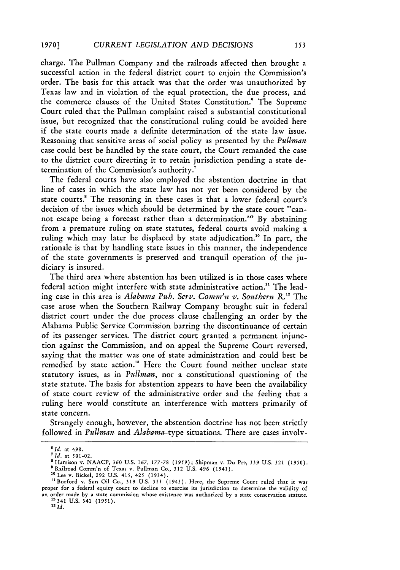charge. The Pullman Company and the railroads affected then brought a successful action in the federal district court to enjoin the Commission's order. The basis for this attack was that the order was unauthorized by Texas law and in violation of the equal protection, the due process, and the commerce clauses of the United States Constitution.' The Supreme Court ruled that the Pullman complaint raised a substantial constitutional issue, but recognized that the constitutional ruling could be avoided here if the state courts made a definite determination of the state law issue. Reasoning that sensitive areas of social policy as presented by the *Pullman* case could best be handled by the state court, the Court remanded the case to the district court directing it to retain jurisdiction pending a state determination of the Commission's authority.<sup>7</sup>

The federal courts have also employed the abstention doctrine in that line of cases in which the state law has not yet been considered by the state courts.' The reasoning in these cases is that a lower federal court's decision of the issues which should be determined by the state court "cannot escape being a forecast rather than a determination."9 By abstaining from a premature ruling on state statutes, federal courts avoid making a ruling which may later be displaced by state adjudication." In part, the rationale is that by handling state issues in this manner, the independence of the state governments is preserved and tranquil operation of the judiciary is insured.

The third area where abstention has been utilized is in those cases where federal action might interfere with state administrative action." The leading case in this area is *Alabama Pub. Serv. Comm'n v. Southern R."* The case arose when the Southern Railway Company brought suit in federal district court under the due process clause challenging an order by the Alabama Public Service Commission barring the discontinuance of certain of its passenger services. The district court granted a permanent injunction against the Commission, and on appeal the Supreme Court reversed, saying that the matter was one of state administration and could best be remedied by state action.<sup>13</sup> Here the Court found neither unclear state statutory issues, as in *Pullman,* nor a constitutional questioning of the state statute. The basis for abstention appears to have been the availability of state court review of the administrative order and the feeling that a ruling here would constitute an interference with matters primarily of state concern.

Strangely enough, however, the abstention doctrine has not been strictly followed in *Pullman* and *Alabama-type* situations. There are cases involv-

 $13 \, \mu$ .

*<sup>6</sup> id.* at 498.

*<sup>&#</sup>x27;Id.* at 501-02.

<sup>&#</sup>x27;Harrison v. NAACP, 360 U.S. *167,* 177-78 **(1959);** Shipman v. Du Pre, **339** U.S. 321 **(1950).**

<sup>&#</sup>x27;Railroad Comm'n of Texas v. Pullman Co., **312** U.S. 496 (1941).

<sup>&</sup>lt;sup>10</sup> Lee v. Bickel, 292 U.S. 415, 425 (1934).

<sup>&</sup>lt;sup>11</sup> Burford v. Sun Oil Co., 319 U.S. 315 (1943). Here, the Supreme Court ruled that it was proper for a federal equity court to decline to exercise its jurisdiction to determine the validity of an order made by a state commission whose existence was authorized by a state conservation statute. <sup>12341</sup>**U.S.** 341 **(1951).**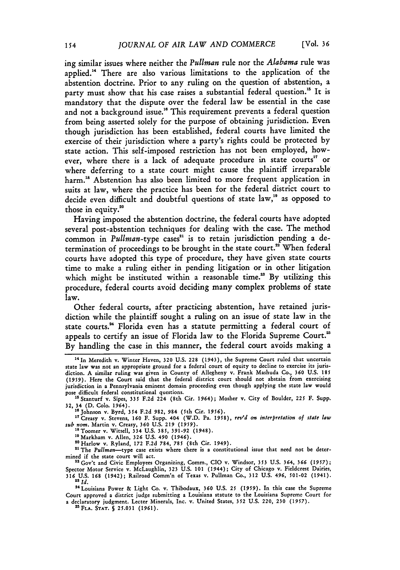ing similar issues where neither the *Pullman* rule nor the *Alabama* rule was applied."' There are also various limitations to the application of the abstention doctrine. Prior to any ruling on the question of abstention, a party must show that his case raises a substantial federal question." It is mandatory that the dispute over the federal law be essential in the case and not a background issue.<sup>16</sup> This requirement prevents a federal question from being asserted solely for the purpose of obtaining jurisdiction. Even though jurisdiction has been established, federal courts have limited the exercise of their jurisdiction where a party's rights could be protected **by** state action. This self-imposed restriction has not been employed, however, where there is a lack of adequate procedure in state courts<sup>17</sup> or where deferring to a state court might cause the plaintiff irreparable harm.<sup>18</sup> Abstention has also been limited to more frequent application in suits at law, where the practice has been for the federal district court to decide even difficult and doubtful questions of state law,<sup>19</sup> as opposed to those in equity.<sup>20</sup>

Having imposed the abstention doctrine, the federal courts have adopted several post-abstention techniques for dealing with the case. The method common in *Pullman*-type cases<sup>21</sup> is to retain jurisdiction pending a determination of proceedings to be brought in the state court.<sup>22</sup> When federal courts have adopted this type of procedure, they have given state courts time to make a ruling either in pending litigation or in other litigation which might be instituted within a reasonable time.<sup>23</sup> By utilizing this procedure, federal courts avoid deciding many complex problems of state law.

Other federal courts, after practicing abstention, have retained jurisdiction while the plaintiff sought a ruling on an issue of state law in the state courts.<sup>24</sup> Florida even has a statute permitting a federal court of appeals to certify an issue of Florida law to the Florida Supreme Court.<sup>25</sup> **By** handling the case in this manner, the federal court avoids making a

<sup>&</sup>lt;sup>14</sup> In Meredith v. Winter Haven, 320 U.S. 228 (1943), the Supreme Court ruled that uncertain state law was not an appropriate ground for a federal court of equity to decline to exercise its jurisdiction. **A** similar ruling was given in County of Allegheny v. Frank Mashuda Co., **360 U.S. 185 (1959).** Here the Court said that the federal district court should not abstain from exercising jurisdiction in a Pennsylvania eminent domain proceeding even though applying the state law would pose difficult federal constitutional questions. 15Stanturf v. Sipes, **335 F.2d** 224 (8th Cir. 1964); Mosher v. City of Boulder, **225** F. Supp.

**<sup>32,</sup>** 34 **(D. Colo.** 1964). <sup>6</sup> Johnson v. Byrd, **354 F.2d 982,** 984 (5th Cir. *1956).* " Creasy v. Stevens, **160** F. Supp. 404 (W.D. Pa. **1958),** *revd on interpretation of state law*

*sub nonm.* Martin v. Creasy, **360 U.S. 219** *(1959).* "aToomer v. Witsell, 334 **U.S. 385, 391-92** (1948).

**<sup>&#</sup>x27;"** Markham v. Allen, **326 U.S.** 490 (1946). "Harlow v. Ryland, **172 F.2d 784,** *785* (8th Cir. 1949).

<sup>&</sup>lt;sup>21</sup> The *Pullman*-type case exists where there is a constitutional issue that need not be determined if the state court will act.

<sup>&</sup>lt;sup>22</sup> Gov't and Civic Employees Organizing, Comm., CIO v. Windsor, 353 U.S. 364, 366 (1957);<br>Spector Motor Service v. McLaughlin, 323 U.S. 101 (1944); City of Chicago v. Fieldcrest Dairies, **316 U.S. 168** (1942); Railroad Comm'n of Texas v. Pullman Co., **312 U.S.** 496, 501-02 (1941). *2S Id.*

<sup>&#</sup>x27; <sup>4</sup> Louisiana Power **&** Light Co. v. Thibodaux, **360 U.S. 25** *(1959).* In this case the Supreme Court approved a district judge submitting a Louisiana statute to the Louisiana Supreme Court for a declaratory judgment. Lecter Minerals, Inc. v. United States, **352 U.S.** 220, **230 (1957).**

**<sup>&</sup>quot;FLA. STAT. § 25.031 (1961).**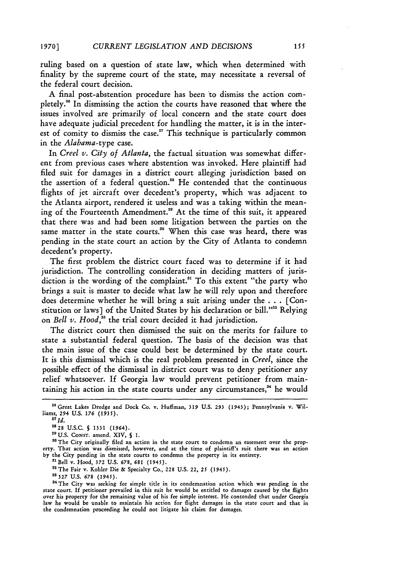ruling based on a question of state law, which when determined with finality by the supreme court of the state, may necessitate a reversal of the federal court decision.

A final post-abstention procedure has been 'to dismiss the action completely.<sup>26</sup> In dismissing the action the courts have reasoned that where the issues involved are primarily of local concern and the state court does have adequate judicial precedent for handling the matter, it is in the interest of comity to dismiss the case.<sup>27</sup> This technique is particularly common in the *Alabama-type* case.

In *Creel v. City of Atlanta,* the factual situation was somewhat different from previous cases where abstention was invoked. Here plaintiff had filed suit for damages in a district court alleging jurisdiction based on the assertion of a federal question." He contended that the continuous flights of jet aircraft over decedent's property, which was adjacent to the Atlanta airport, rendered it useless and was a taking within the meaning of the Fourteenth Amendment."9 At the time of this suit, it appeared that there was and had been some litigation between the parties on the same matter in the state courts.<sup>30</sup> When this case was heard, there was pending in the state court an action by the City of Atlanta to condemn decedent's property.

The first problem the district court faced was to determine if it had jurisdiction. The controlling consideration in deciding matters of jurisdiction is the wording of the complaint.<sup>31</sup> To this extent "the party who brings a suit is master to decide what law he will rely upon and therefore does determine whether he will bring a suit arising under the . .. [Constitution or laws] of the United States by his declaration or bill."<sup>32</sup> Relying on *Bell v. Hood*<sup>33</sup> the trial court decided it had jurisdiction.

The district court then dismissed the suit on the merits for failure to state a substantial federal question. The basis of the decision was that the main issue of the case could best be determined by the state court. It is this dismissal which is the real problem presented in *Creel,* since the possible effect of the dismissal in district court was to deny petitioner any relief whatsoever. If Georgia law would prevent petitioner from maintaining his action in the state courts under any circumstances,<sup>34</sup> he would

" t Bell v. Hood, **372 U.S.** 678, **681** (1945).

**"** The Fair v. Kohler Die & Specialty Co., 228 U.S. 22, *25 (1945).* **22327 U.S.** *678* (1945).

**<sup>&</sup>quot;** Great Lakes Dredge and Dock Co. v. Huffman, 319 **U.S.** 293 (1943); Pennsylvania v. Williams, 294 **U.S.** *176* (1935).

**<sup>27</sup>** *id.*

<sup>2828</sup> **U.S.C. §** 1331 (1964).

**<sup>&</sup>quot; U.S. CONST.** amend. XIV, **§** 1.

**<sup>20</sup>** The City originally **filed** an action in the state court to condemn an easement over the property. That action was dismissed, however, and at the time of plaintiff's suit there was an action **by** the City pending in the state courts to condemn the property in its entirety.

**<sup>4</sup>** The City was seeking fee simple title in its condemnation action which was pending in the state court. If petitioner prevailed in this suit he would be entitled to damages caused by the flights over his property for the remaining value of his fee simple interest. He contended that under Georgia law he would be unable to maintain his action for flight damages in the state court and that in the condemnation proceeding he could not litigate his claim for damages.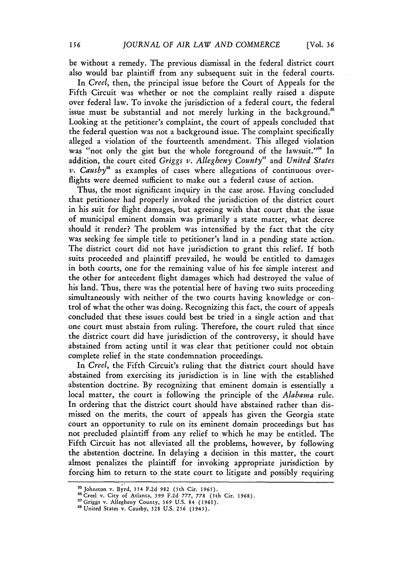be without a remedy. The previous dismissal in the federal district court also would bar plaintiff from any subsequent suit in the federal courts.

In *Creel*, then, the principal issue before the Court of Appeals for the Fifth Circuit was whether or not the complaint really raised a dispute over federal law. To invoke the jurisdiction of a federal court, the federal issue must be substantial and not merely lurking in the background.<sup>35</sup> Looking at the petitioner's complaint, the court of appeals concluded that the federal question was not a background issue. The complaint specifically alleged a violation of the fourteenth amendment. This alleged violation was "not only the gist but the whole foreground of the lawsuit."<sup>36</sup> In addition, the court cited *Griggs v. Allegheny County<sup>37</sup>* and *United States v. Causby"8* as examples of cases where allegations of continuous overflights were deemed sufficient to make out a federal cause of action.

Thus, the most significant inquiry in the case arose. Having concluded that petitioner had properly invoked the jurisdiction of the district court in his suit for flight damages, but agreeing with that court that the issue of municipal eminent domain was primarily a state matter, what decree should it render? The problem was intensified by the fact that the city was seeking fee simple title to petitioner's land in a pending state action. The district court did not have jurisdiction to grant this relief. If both suits proceeded and plaintiff prevailed, he would be entitled to damages in both courts, one for the remaining value of his fee simple interest and the other for antecedent flight damages which had destroyed the value of his land. Thus, there was the potential here of having two suits proceeding simultaneously with neither of the two courts having knowledge or control of what the other was doing. Recognizing this fact, the court of appeals concluded that these issues could best be tried in a single action and that one court must abstain from ruling. Therefore, the court ruled that since the district court did have jurisdiction of the controversy, it should have abstained from acting until it was clear that petitioner could not obtain complete relief in the state condemnation proceedings.

In *Creel,* the Fifth Circuit's ruling that the district court should have abstained from exercising its jurisdiction is in line with the established abstention doctrine. By recognizing that eminent domain is essentially a local matter, the court is following the principle of the *Alabama* rule. In ordering that the district court should have abstained rather than dismissed on the merits, the court of appeals has given the Georgia state court an opportunity to rule on its eminent domain proceedings but has not precluded plaintiff from any relief to which he may be entitled. The Fifth Circuit has not alleviated all the problems, however, by following the abstention doctrine. In delaying a decision in this matter, the court almost penalizes the plaintiff for invoking appropriate jurisdiction by forcing him to return to the state court to litigate and possibly requiring

<sup>&</sup>lt;sup>35</sup> Johnston v. Byrd, 354 F.2d 982 (5th Cir. 1965).<br><sup>36</sup> Creel v. City of Atlanta, 399 F.2d 777, 778 (5th Cir. 1968).

<sup>&</sup>lt;sup>37</sup> Griggs v. Allegheny County, 369 U.S. 84 (1961).<br><sup>37</sup> Griggs v. Allegheny County, 369 U.S. 84 (1961).